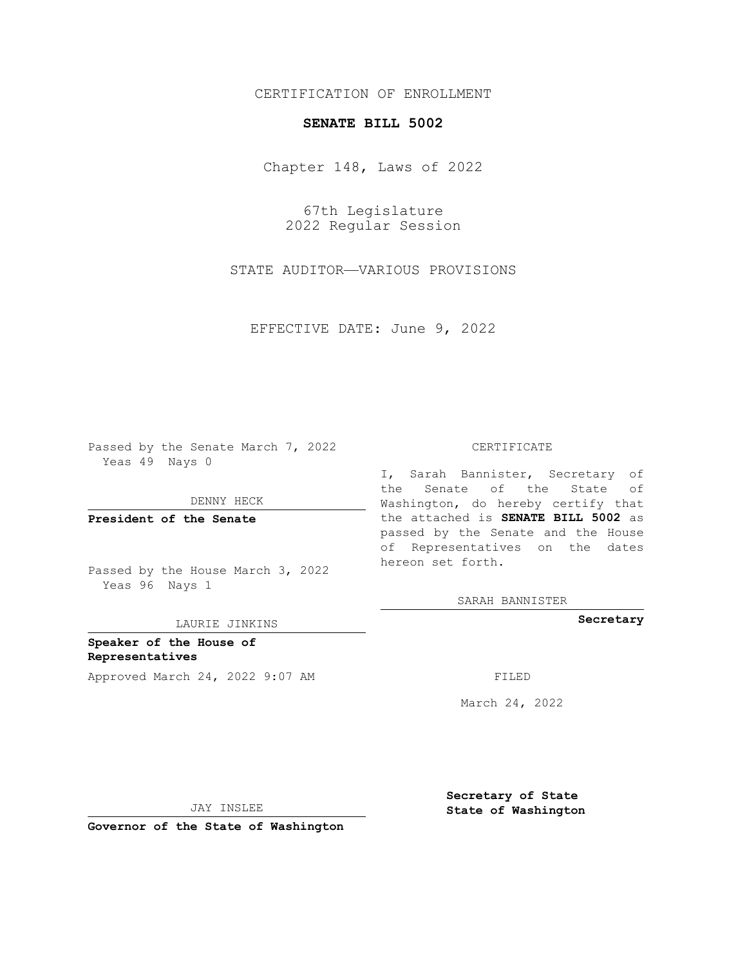## CERTIFICATION OF ENROLLMENT

## **SENATE BILL 5002**

Chapter 148, Laws of 2022

67th Legislature 2022 Regular Session

STATE AUDITOR—VARIOUS PROVISIONS

EFFECTIVE DATE: June 9, 2022

Passed by the Senate March 7, 2022 Yeas 49 Nays 0

DENNY HECK

**President of the Senate**

Passed by the House March 3, 2022 Yeas 96 Nays 1

LAURIE JINKINS

**Speaker of the House of Representatives** Approved March 24, 2022 9:07 AM FILED

#### CERTIFICATE

I, Sarah Bannister, Secretary of the Senate of the State of Washington, do hereby certify that the attached is **SENATE BILL 5002** as passed by the Senate and the House of Representatives on the dates hereon set forth.

SARAH BANNISTER

**Secretary**

March 24, 2022

JAY INSLEE

**Secretary of State State of Washington**

**Governor of the State of Washington**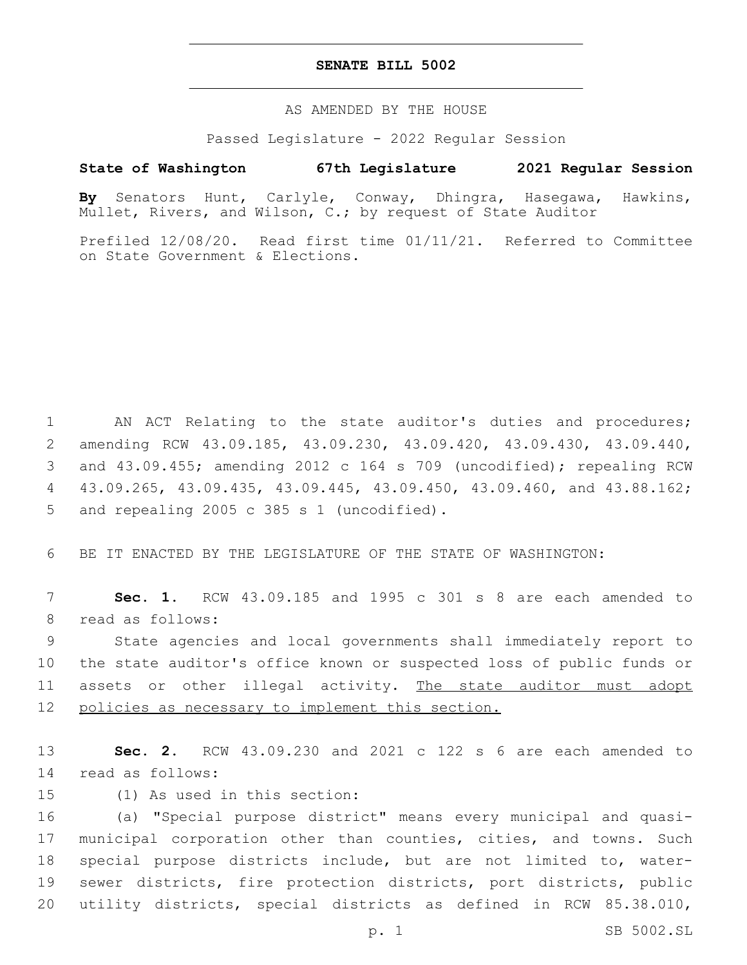### **SENATE BILL 5002**

AS AMENDED BY THE HOUSE

Passed Legislature - 2022 Regular Session

# **State of Washington 67th Legislature 2021 Regular Session**

**By** Senators Hunt, Carlyle, Conway, Dhingra, Hasegawa, Hawkins, Mullet, Rivers, and Wilson, C.; by request of State Auditor

Prefiled 12/08/20. Read first time 01/11/21. Referred to Committee on State Government & Elections.

1 AN ACT Relating to the state auditor's duties and procedures; 2 amending RCW 43.09.185, 43.09.230, 43.09.420, 43.09.430, 43.09.440, 3 and 43.09.455; amending 2012 c 164 s 709 (uncodified); repealing RCW 4 43.09.265, 43.09.435, 43.09.445, 43.09.450, 43.09.460, and 43.88.162; 5 and repealing 2005 c 385 s 1 (uncodified).

6 BE IT ENACTED BY THE LEGISLATURE OF THE STATE OF WASHINGTON:

7 **Sec. 1.** RCW 43.09.185 and 1995 c 301 s 8 are each amended to 8 read as follows:

9 State agencies and local governments shall immediately report to 10 the state auditor's office known or suspected loss of public funds or 11 assets or other illegal activity. The state auditor must adopt 12 policies as necessary to implement this section.

13 **Sec. 2.** RCW 43.09.230 and 2021 c 122 s 6 are each amended to 14 read as follows:

15 (1) As used in this section:

 (a) "Special purpose district" means every municipal and quasi- municipal corporation other than counties, cities, and towns. Such special purpose districts include, but are not limited to, water- sewer districts, fire protection districts, port districts, public utility districts, special districts as defined in RCW 85.38.010,

p. 1 SB 5002.SL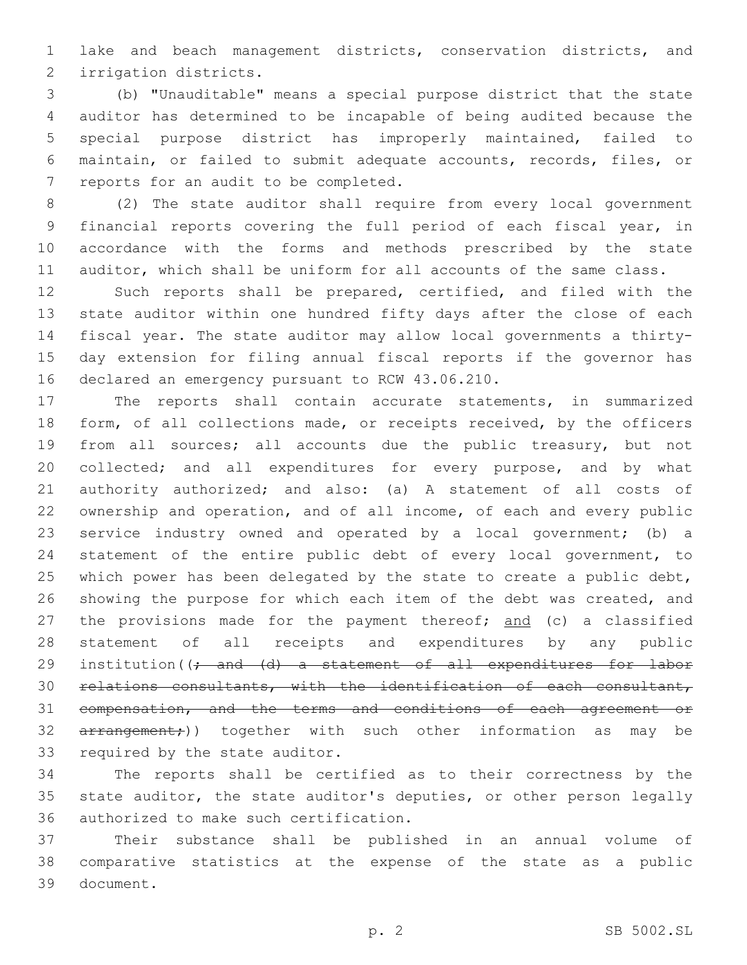lake and beach management districts, conservation districts, and 2 irrigation districts.

 (b) "Unauditable" means a special purpose district that the state auditor has determined to be incapable of being audited because the special purpose district has improperly maintained, failed to maintain, or failed to submit adequate accounts, records, files, or 7 reports for an audit to be completed.

 (2) The state auditor shall require from every local government financial reports covering the full period of each fiscal year, in accordance with the forms and methods prescribed by the state auditor, which shall be uniform for all accounts of the same class.

 Such reports shall be prepared, certified, and filed with the state auditor within one hundred fifty days after the close of each fiscal year. The state auditor may allow local governments a thirty- day extension for filing annual fiscal reports if the governor has 16 declared an emergency pursuant to RCW 43.06.210.

 The reports shall contain accurate statements, in summarized 18 form, of all collections made, or receipts received, by the officers from all sources; all accounts due the public treasury, but not collected; and all expenditures for every purpose, and by what authority authorized; and also: (a) A statement of all costs of ownership and operation, and of all income, of each and every public service industry owned and operated by a local government; (b) a statement of the entire public debt of every local government, to 25 which power has been delegated by the state to create a public debt, 26 showing the purpose for which each item of the debt was created, and 27 the provisions made for the payment thereof; and (c) a classified statement of all receipts and expenditures by any public 29 institution((; and (d) a statement of all expenditures for labor relations consultants, with the identification of each consultant, compensation, and the terms and conditions of each agreement or 32 arrangement;)) together with such other information as may be 33 required by the state auditor.

 The reports shall be certified as to their correctness by the state auditor, the state auditor's deputies, or other person legally 36 authorized to make such certification.

 Their substance shall be published in an annual volume of comparative statistics at the expense of the state as a public 39 document.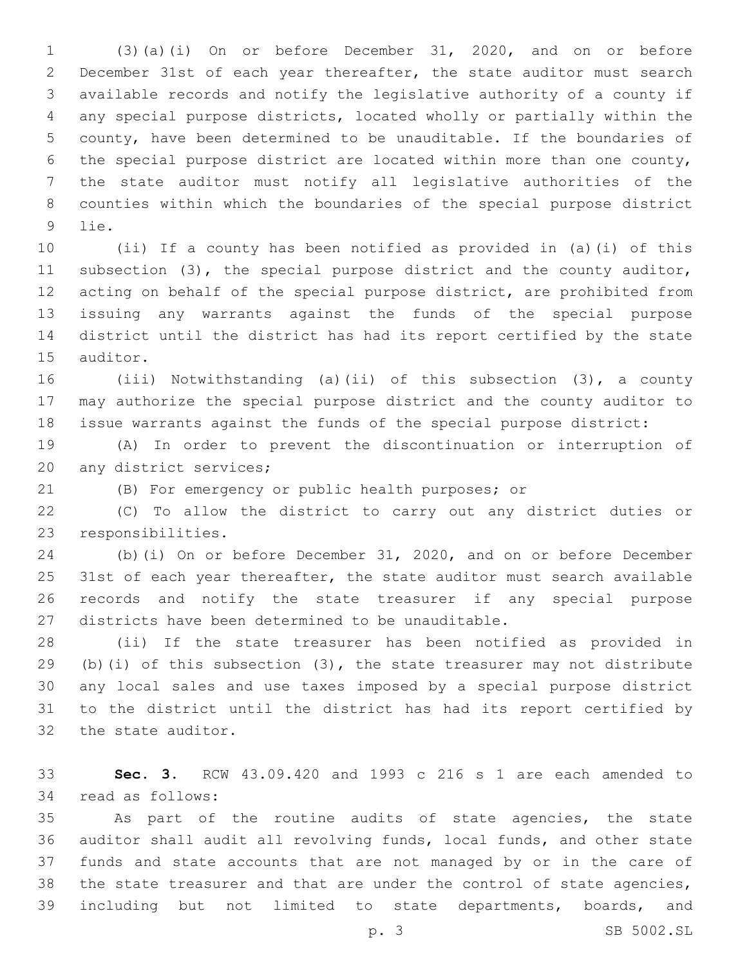(3)(a)(i) On or before December 31, 2020, and on or before December 31st of each year thereafter, the state auditor must search available records and notify the legislative authority of a county if any special purpose districts, located wholly or partially within the county, have been determined to be unauditable. If the boundaries of the special purpose district are located within more than one county, the state auditor must notify all legislative authorities of the counties within which the boundaries of the special purpose district 9 lie.

 (ii) If a county has been notified as provided in (a)(i) of this subsection (3), the special purpose district and the county auditor, acting on behalf of the special purpose district, are prohibited from issuing any warrants against the funds of the special purpose district until the district has had its report certified by the state 15 auditor.

 (iii) Notwithstanding (a)(ii) of this subsection (3), a county may authorize the special purpose district and the county auditor to issue warrants against the funds of the special purpose district:

 (A) In order to prevent the discontinuation or interruption of 20 any district services;

(B) For emergency or public health purposes; or

 (C) To allow the district to carry out any district duties or 23 responsibilities.

 (b)(i) On or before December 31, 2020, and on or before December 25 31st of each year thereafter, the state auditor must search available records and notify the state treasurer if any special purpose 27 districts have been determined to be unauditable.

 (ii) If the state treasurer has been notified as provided in (b)(i) of this subsection (3), the state treasurer may not distribute any local sales and use taxes imposed by a special purpose district to the district until the district has had its report certified by 32 the state auditor.

 **Sec. 3.** RCW 43.09.420 and 1993 c 216 s 1 are each amended to 34 read as follows:

 As part of the routine audits of state agencies, the state auditor shall audit all revolving funds, local funds, and other state funds and state accounts that are not managed by or in the care of the state treasurer and that are under the control of state agencies, including but not limited to state departments, boards, and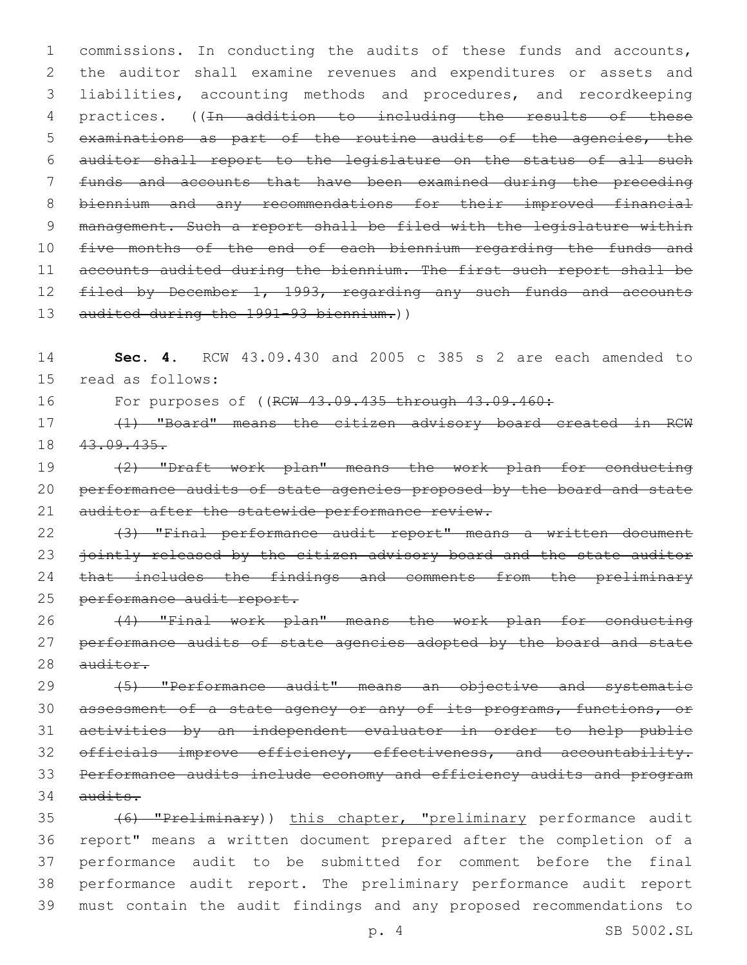1 commissions. In conducting the audits of these funds and accounts, 2 the auditor shall examine revenues and expenditures or assets and 3 liabilities, accounting methods and procedures, and recordkeeping 4 practices. ((In addition to including the results of these 5 examinations as part of the routine audits of the agencies, the 6 auditor shall report to the legislature on the status of all such 7 funds and accounts that have been examined during the preceding 8 biennium and any recommendations for their improved financial 9 management. Such a report shall be filed with the legislature within 10 five months of the end of each biennium regarding the funds and 11 accounts audited during the biennium. The first such report shall be 12 filed by December 1, 1993, regarding any such funds and accounts 13 audited during the 1991-93 biennium.))

14 **Sec. 4.** RCW 43.09.430 and 2005 c 385 s 2 are each amended to 15 read as follows:

16 For purposes of ((RCW 43.09.435 through 43.09.460:

17 (1) "Board" means the citizen advisory board created in RCW 18 43.09.435.

19 (2) "Draft work plan" means the work plan for conducting 20 performance audits of state agencies proposed by the board and state 21 auditor after the statewide performance review.

22 (3) "Final performance audit report" means a written document 23 jointly released by the citizen advisory board and the state auditor 24 that includes the findings and comments from the preliminary 25 performance audit report.

26 (4) "Final work plan" means the work plan for conducting 27 performance audits of state agencies adopted by the board and state 28 auditor.

29 (5) "Performance audit" means an objective and systematic 30 assessment of a state agency or any of its programs, functions, or 31 activities by an independent evaluator in order to help public 32 officials improve efficiency, effectiveness, and accountability. 33 Performance audits include economy and efficiency audits and program  $34$  audits.

 (6) "Preliminary)) this chapter, "preliminary performance audit report" means a written document prepared after the completion of a performance audit to be submitted for comment before the final performance audit report. The preliminary performance audit report must contain the audit findings and any proposed recommendations to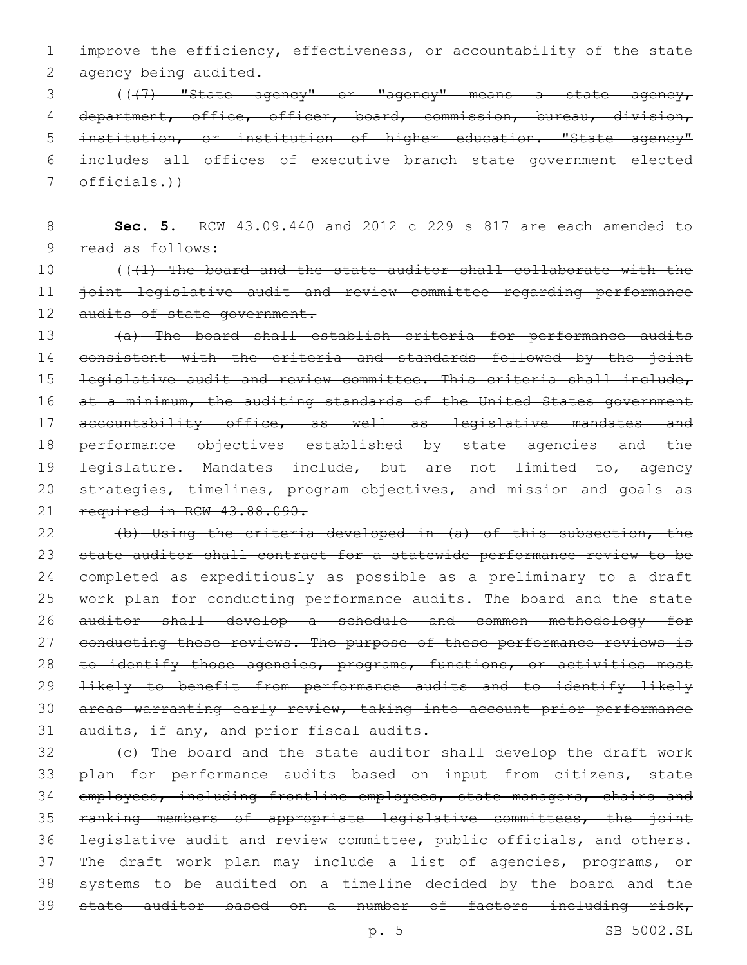1 improve the efficiency, effectiveness, or accountability of the state 2 agency being audited.

3 (( $\left(1, 7\right)$  "State agency" or "agency" means a state agency, 4 department, office, officer, board, commission, bureau, division, 5 institution, or institution of higher education. "State agency" 6 includes all offices of executive branch state government elected 7 officials.))

8 **Sec. 5.** RCW 43.09.440 and 2012 c 229 s 817 are each amended to 9 read as follows:

10 (((1) The board and the state auditor shall collaborate with the 11 joint legislative audit and review committee regarding performance 12 audits of state government.

13 (a) The board shall establish criteria for performance audits 14 consistent with the criteria and standards followed by the joint 15 legislative audit and review committee. This criteria shall include, 16 at a minimum, the auditing standards of the United States government 17 accountability office, as well as legislative mandates and 18 performance objectives established by state agencies and the 19 <del>legislature. Mandates include, but are not limited to, agency</del> 20 strategies, timelines, program objectives, and mission and goals as 21 required in RCW 43.88.090.

22 (b) Using the criteria developed in (a) of this subsection, the 23 state auditor shall contract for a statewide performance review to be 24 completed as expeditiously as possible as a preliminary to a draft 25 work plan for conducting performance audits. The board and the state 26 auditor shall develop a schedule and common methodology for 27 conducting these reviews. The purpose of these performance reviews is 28 to identify those agencies, programs, functions, or activities most 29 likely to benefit from performance audits and to identify likely 30 areas warranting early review, taking into account prior performance 31 audits, if any, and prior fiscal audits.

32 (c) The board and the state auditor shall develop the draft work 33 plan for performance audits based on input from citizens, state 34 employees, including frontline employees, state managers, chairs and 35 ranking members of appropriate legislative committees, the joint 36 legislative audit and review committee, public officials, and others. 37 The draft work plan may include a list of agencies, programs, or 38 systems to be audited on a timeline decided by the board and the 39 state auditor based on a number of factors including risk,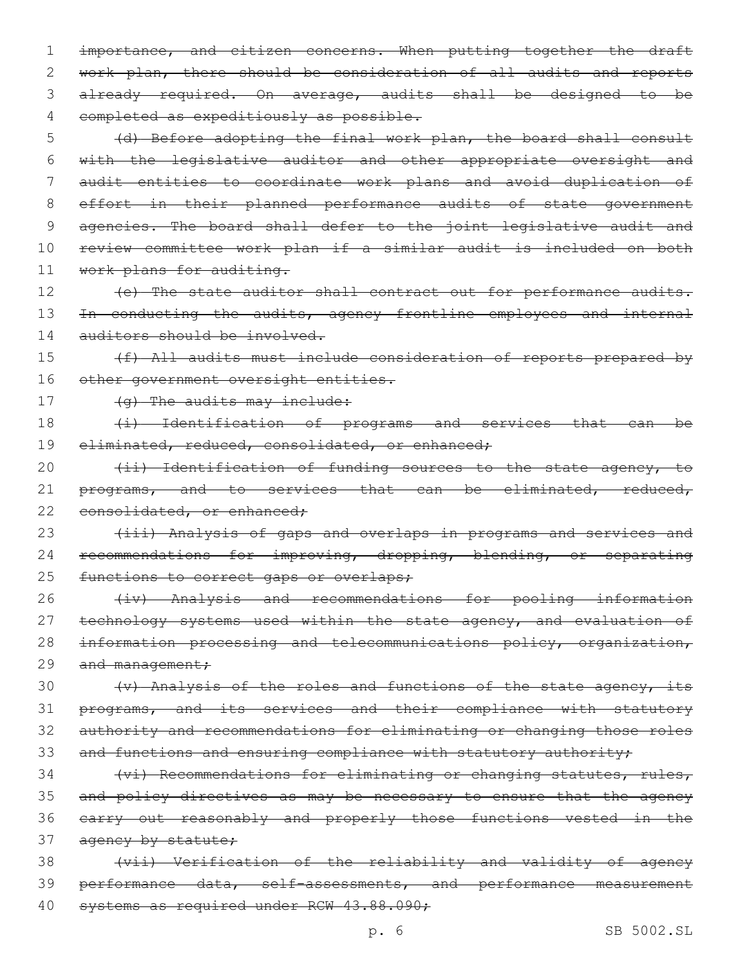1 importance, and citizen concerns. When putting together the draft 2 work plan, there should be consideration of all audits and reports 3 already required. On average, audits shall be designed to be 4 completed as expeditiously as possible.

5 (d) Before adopting the final work plan, the board shall consult 6 with the legislative auditor and other appropriate oversight and 7 audit entities to coordinate work plans and avoid duplication of 8 effort in their planned performance audits of state government 9 agencies. The board shall defer to the joint legislative audit and 10 review committee work plan if a similar audit is included on both 11 work plans for auditing.

12 (e) The state auditor shall contract out for performance audits. 13 In conducting the audits, agency frontline employees and internal 14 auditors should be involved.

15 (f) All audits must include consideration of reports prepared by 16 other government oversight entities.

17 (g) The audits may include:

18 (i) Identification of programs and services that can be 19 eliminated, reduced, consolidated, or enhanced;

20 (ii) Identification of funding sources to the state agency, to 21 programs, and to services that can be eliminated, reduced, 22 consolidated, or enhanced;

23 (iii) Analysis of gaps and overlaps in programs and services and 24 recommendations for improving, dropping, blending, or separating 25 functions to correct gaps or overlaps;

26 (iv) Analysis and recommendations for pooling information 27 technology systems used within the state agency, and evaluation of 28 information processing and telecommunications policy, organization, 29 and management;

 (v) Analysis of the roles and functions of the state agency, its programs, and its services and their compliance with statutory authority and recommendations for eliminating or changing those roles 33 and functions and ensuring compliance with statutory authority;

34 (vi) Recommendations for eliminating or changing statutes, rules, 35 and policy directives as may be necessary to ensure that the agency 36 carry out reasonably and properly those functions vested in the 37 agency by statute;

38 (vii) Verification of the reliability and validity of agency 39 performance data, self-assessments, and performance measurement 40 systems as required under RCW 43.88.090;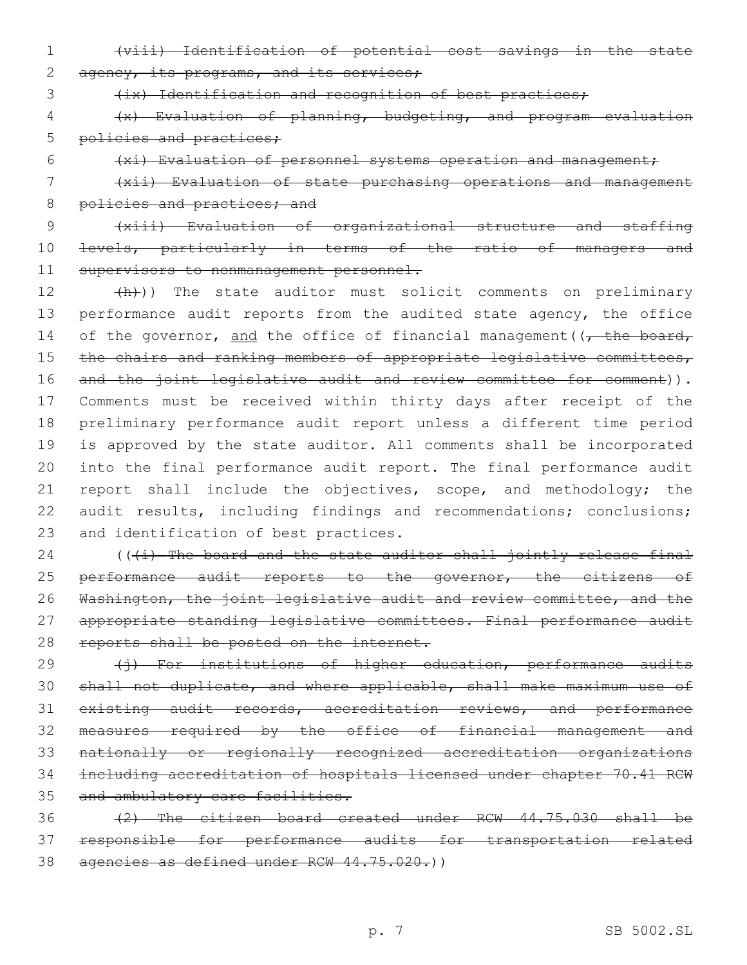1 (viii) Identification of potential cost savings in the state 2 agency, its programs, and its services;

3 (ix) Identification and recognition of best practices;

4 (x) Evaluation of planning, budgeting, and program evaluation 5 policies and practices;

6 (xi) Evaluation of personnel systems operation and management;

7 (xii) Evaluation of state purchasing operations and management 8 policies and practices; and

9 (xiii) Evaluation of organizational structure and staffing 10 <del>levels, particularly in terms of the ratio of managers and</del> 11 supervisors to nonmanagement personnel.

12 (h)) The state auditor must solicit comments on preliminary 13 performance audit reports from the audited state agency, the office 14 of the governor, and the office of financial management ( $\sqrt{\tau}$  the board, 15 the chairs and ranking members of appropriate legislative committees, 16 and the joint legislative audit and review committee for comment)). 17 Comments must be received within thirty days after receipt of the 18 preliminary performance audit report unless a different time period 19 is approved by the state auditor. All comments shall be incorporated 20 into the final performance audit report. The final performance audit 21 report shall include the objectives, scope, and methodology; the 22 audit results, including findings and recommendations; conclusions; 23 and identification of best practices.

 $24$  (( $(i)$  The board and the state auditor shall jointly release final 25 performance audit reports to the governor, the citizens of 26 Washington, the joint legislative audit and review committee, and the 27 appropriate standing legislative committees. Final performance audit 28 reports shall be posted on the internet.

29 (i) For institutions of higher education, performance audits shall not duplicate, and where applicable, shall make maximum use of existing audit records, accreditation reviews, and performance measures required by the office of financial management and nationally or regionally recognized accreditation organizations including accreditation of hospitals licensed under chapter 70.41 RCW 35 and ambulatory care facilities.

36 (2) The citizen board created under RCW 44.75.030 shall be 37 responsible for performance audits for transportation related 38 agencies as defined under RCW 44.75.020.))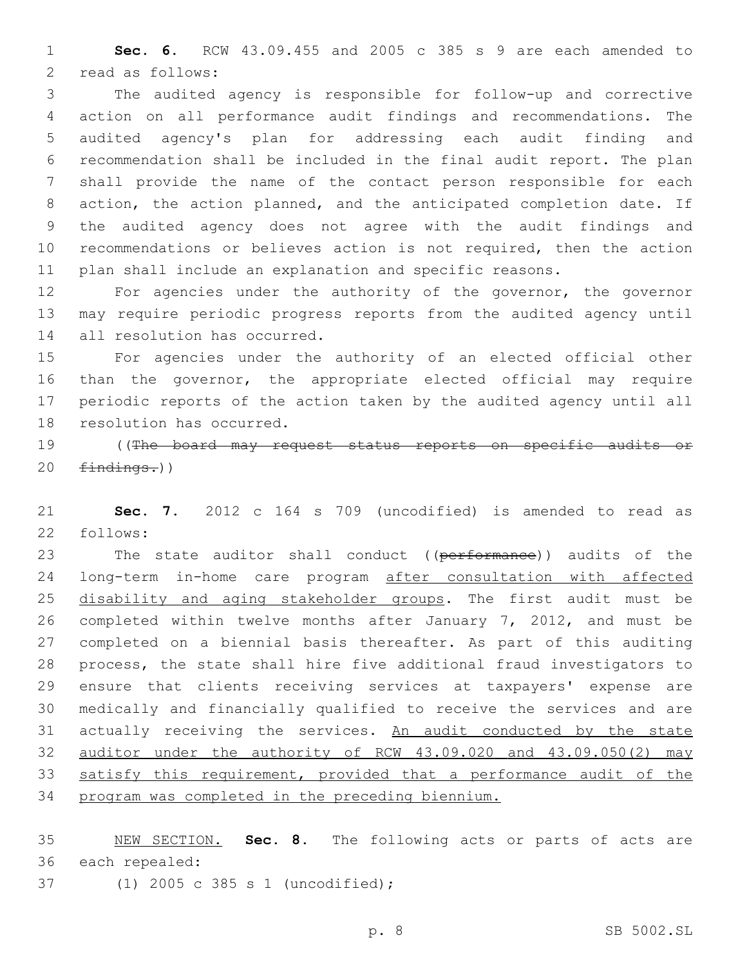**Sec. 6.** RCW 43.09.455 and 2005 c 385 s 9 are each amended to 2 read as follows:

 The audited agency is responsible for follow-up and corrective action on all performance audit findings and recommendations. The audited agency's plan for addressing each audit finding and recommendation shall be included in the final audit report. The plan shall provide the name of the contact person responsible for each action, the action planned, and the anticipated completion date. If the audited agency does not agree with the audit findings and recommendations or believes action is not required, then the action plan shall include an explanation and specific reasons.

 For agencies under the authority of the governor, the governor may require periodic progress reports from the audited agency until 14 all resolution has occurred.

 For agencies under the authority of an elected official other than the governor, the appropriate elected official may require periodic reports of the action taken by the audited agency until all 18 resolution has occurred.

 ((The board may request status reports on specific audits or  $findings.)$ 

 **Sec. 7.** 2012 c 164 s 709 (uncodified) is amended to read as 22 follows:

23 The state auditor shall conduct ((performance)) audits of the long-term in-home care program after consultation with affected 25 disability and aging stakeholder groups. The first audit must be completed within twelve months after January 7, 2012, and must be completed on a biennial basis thereafter. As part of this auditing process, the state shall hire five additional fraud investigators to ensure that clients receiving services at taxpayers' expense are medically and financially qualified to receive the services and are 31 actually receiving the services. An audit conducted by the state auditor under the authority of RCW 43.09.020 and 43.09.050(2) may 33 satisfy this requirement, provided that a performance audit of the program was completed in the preceding biennium.

 NEW SECTION. **Sec. 8.** The following acts or parts of acts are each repealed:

(1) 2005 c 385 s 1 (uncodified);37